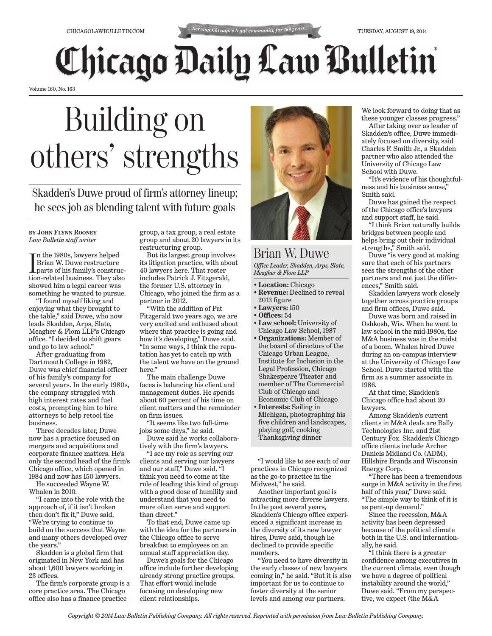## **Chicago Daily Law Bulletin**

Volume 160, No. 163

## Building on others' strengths

Skadden's Duwe proud of firm's attorney lineup; he sees job as blending talent with future goals

**BY JOHN FLYNN ROONEY** *Law Bulletin staff writer*

In the 1980s, lawyers helped<br>Brian W. Duwe restructure<br>parts of his family's construc-<br>tion-related business. They also n the 1980s, lawyers helped Brian W. Duwe restructure parts of his family's construcshowed him a legal career was something he wanted to pursue.

"I found myself liking and enjoying what they brought to the table," said Duwe, who now leads Skadden, Arps, Slate, Meagher & Flom LLP's Chicago office. "I decided to shift gears and go to law school."

After graduating from Dartmouth College in 1982, Duwe was chief financial officer of his family's company for several years. In the early 1980s, the company struggled with high interest rates and fuel costs, prompting him to hire attorneys to help retool the business.

Three decades later, Duwe now has a practice focused on mergers and acquisitions and corporate finance matters. He's only the second head of the firm's Chicago office, which opened in 1984 and now has 150 lawyers.

He succeeded Wayne W. Whalen in 2010.

"I came into the role with the approach of, if it isn't broken then don't fix it," Duwe said. "We're trying to continue to build on the success that Wayne and many others developed over the years.'

Skadden is a global firm that originated in New York and has about 1,600 lawyers working in 23 offices.

The firm's corporate group is a core practice area. The Chicago office also has a finance practice

group, a tax group, a real estate group and about 20 lawyers in its restructuring group.

But its largest group involves its litigation practice, with about 40 lawyers here. That roster includes Patrick J. Fitzgerald, the former U.S. attorney in Chicago, who joined the firm as a partner in 2012.

"With the addition of Pat Fitzgerald two years ago, we are very excited and enthused about where that practice is going and how it's developing," Duwe said. "In some ways, I think the reputation has yet to catch up with the talent we have on the ground here."

The main challenge Duwe faces is balancing his client and management duties. He spends about 60 percent of his time on client matters and the remainder on firm issues.

"It seems like two full-time jobs some days," he said.

Duwe said he works collaboratively with the firm's lawyers.

"I see my role as serving our clients and serving our lawyers and our staff," Duwe said. "I think you need to come at the role of leading this kind of group with a good dose of humility and understand that you need to more often serve and support than direct."

To that end, Duwe came up with the idea for the partners in the Chicago office to serve breakfast to employees on an annual staff appreciation day.

Duwe's goals for the Chicago office include further developing already strong practice groups. That effort would include focusing on developing new client relationships.



Brian W. Duwe *Office Leader, Skadden, Arps, Slate, Meagher & Flom LLP*

• **Location:** Chicago

- **Revenue:** Declined to reveal 2013 figure
- **Lawyers:** 150
- **Offices:** 54
- **Law school:** University of Chicago Law School, 1987
- **Organizations:** Member of the board of directors of the Chicago Urban League, Institute for Inclusion in the Legal Profession, Chicago Shakespeare Theater and member of The Commercial Club of Chicago and Economic Club of Chicago
- **Interests:** Sailing in Michigan, photographing his five children and landscapes, playing golf, cooking Thanksgiving dinner

"I would like to see each of our practices in Chicago recognized as the go-to practice in the Midwest," he said.

Another important goal is attracting more diverse lawyers. In the past several years, Skadden's Chicago office experienced a significant increase in the diversity of its new lawyer hires, Duwe said, though he declined to provide specific numbers.

"You need to have diversity in the early classes of new lawyers coming in," he said. "But it is also important for us to continue to foster diversity at the senior levels and among our partners.

We look forward to doing that as these younger classes progress."

After taking over as leader of Skadden's office, Duwe immediately focused on diversity, said Charles F. Smith Jr., a Skadden partner who also attended the University of Chicago Law School with Duwe.

"It's evidence of his thoughtfulness and his business sense," Smith said.

Duwe has gained the respect of the Chicago office's lawyers and support staff, he said.

"I think Brian naturally builds bridges between people and helps bring out their individual strengths," Smith said.

Duwe "is very good at making sure that each of his partners sees the strengths of the other partners and not just the differences," Smith said.

Skadden lawyers work closely together across practice groups and firm offices, Duwe said.

Duwe was born and raised in Oshkosh, Wis. When he went to law school in the mid-1980s, the M&A business was in the midst of a boom. Whalen hired Duwe during an on-campus interview at the University of Chicago Law School. Duwe started with the firm as a summer associate in 1986.

At that time, Skadden's Chicago office had about 20 lawyers.

Among Skadden's current clients in M&A deals are Bally Technologies Inc. and 21st Century Fox. Skadden's Chicago office clients include Archer Daniels Midland Co. (ADM), Hillshire Brands and Wisconsin Energy Corp.

"There has been a tremendous surge in M&A activity in the first half of this year," Duwe said. "The simple way to think of it is as pent-up demand."

Since the recession, M&A activity has been depressed because of the political climate both in the U.S. and internationally, he said.

"I think there is a greater confidence among executives in the current climate, even though we have a degree of political instability around the world," Duwe said. "From my perspective, we expect (the M&A